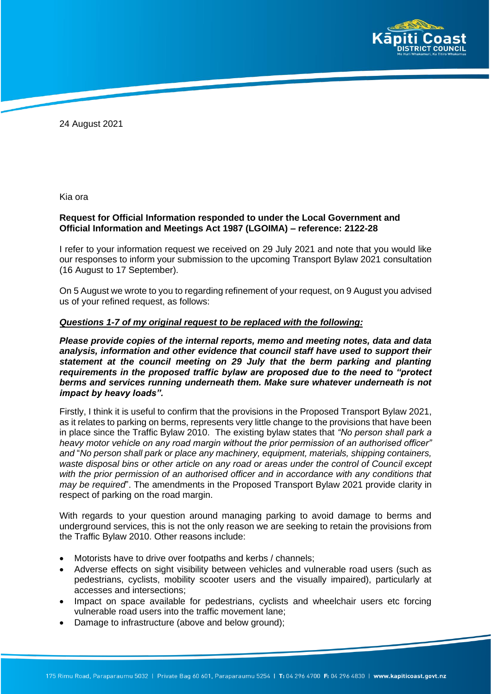

24 August 2021

Kia ora

### **Request for Official Information responded to under the Local Government and Official Information and Meetings Act 1987 (LGOIMA) – reference: 2122-28**

I refer to your information request we received on 29 July 2021 and note that you would like our responses to inform your submission to the upcoming Transport Bylaw 2021 consultation (16 August to 17 September).

On 5 August we wrote to you to regarding refinement of your request, on 9 August you advised us of your refined request, as follows:

#### *Questions 1-7 of my original request to be replaced with the following:*

*Please provide copies of the internal reports, memo and meeting notes, data and data analysis, information and other evidence that council staff have used to support their statement at the council meeting on 29 July that the berm parking and planting requirements in the proposed traffic bylaw are proposed due to the need to "protect berms and services running underneath them. Make sure whatever underneath is not impact by heavy loads".*

Firstly, I think it is useful to confirm that the provisions in the Proposed Transport Bylaw 2021, as it relates to parking on berms, represents very little change to the provisions that have been in place since the Traffic Bylaw 2010. The existing bylaw states that *"No person shall park a heavy motor vehicle on any road margin without the prior permission of an authorised officer" and* "*No person shall park or place any machinery, equipment, materials, shipping containers, waste disposal bins or other article on any road or areas under the control of Council except*  with the prior permission of an authorised officer and in accordance with any conditions that *may be required*". The amendments in the Proposed Transport Bylaw 2021 provide clarity in respect of parking on the road margin.

With regards to your question around managing parking to avoid damage to berms and underground services, this is not the only reason we are seeking to retain the provisions from the Traffic Bylaw 2010. Other reasons include:

- Motorists have to drive over footpaths and kerbs / channels;
- Adverse effects on sight visibility between vehicles and vulnerable road users (such as pedestrians, cyclists, mobility scooter users and the visually impaired), particularly at accesses and intersections;
- Impact on space available for pedestrians, cyclists and wheelchair users etc forcing vulnerable road users into the traffic movement lane;
- Damage to infrastructure (above and below ground);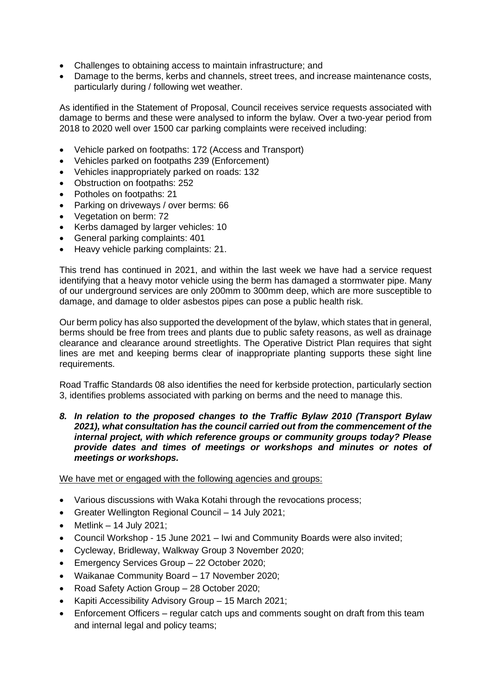- Challenges to obtaining access to maintain infrastructure; and
- Damage to the berms, kerbs and channels, street trees, and increase maintenance costs, particularly during / following wet weather.

As identified in the Statement of Proposal, Council receives service requests associated with damage to berms and these were analysed to inform the bylaw. Over a two-year period from 2018 to 2020 well over 1500 car parking complaints were received including:

- Vehicle parked on footpaths: 172 (Access and Transport)
- Vehicles parked on footpaths 239 (Enforcement)
- Vehicles inappropriately parked on roads: 132
- Obstruction on footpaths: 252
- Potholes on footpaths: 21
- Parking on driveways / over berms: 66
- Vegetation on berm: 72
- Kerbs damaged by larger vehicles: 10
- General parking complaints: 401
- Heavy vehicle parking complaints: 21.

This trend has continued in 2021, and within the last week we have had a service request identifying that a heavy motor vehicle using the berm has damaged a stormwater pipe. Many of our underground services are only 200mm to 300mm deep, which are more susceptible to damage, and damage to older asbestos pipes can pose a public health risk.

Our berm policy has also supported the development of the bylaw, which states that in general, berms should be free from trees and plants due to public safety reasons, as well as drainage clearance and clearance around streetlights. The Operative District Plan requires that sight lines are met and keeping berms clear of inappropriate planting supports these sight line requirements.

Road Traffic Standards 08 also identifies the need for kerbside protection, particularly section 3, identifies problems associated with parking on berms and the need to manage this.

*8. In relation to the proposed changes to the Traffic Bylaw 2010 (Transport Bylaw 2021), what consultation has the council carried out from the commencement of the internal project, with which reference groups or community groups today? Please provide dates and times of meetings or workshops and minutes or notes of meetings or workshops.*

We have met or engaged with the following agencies and groups:

- Various discussions with Waka Kotahi through the revocations process;
- Greater Wellington Regional Council 14 July 2021;
- Metlink  $-14$  July 2021;
- Council Workshop 15 June 2021 Iwi and Community Boards were also invited;
- Cycleway, Bridleway, Walkway Group 3 November 2020;
- Emergency Services Group 22 October 2020;
- Waikanae Community Board 17 November 2020;
- Road Safety Action Group 28 October 2020;
- Kapiti Accessibility Advisory Group 15 March 2021;
- Enforcement Officers regular catch ups and comments sought on draft from this team and internal legal and policy teams;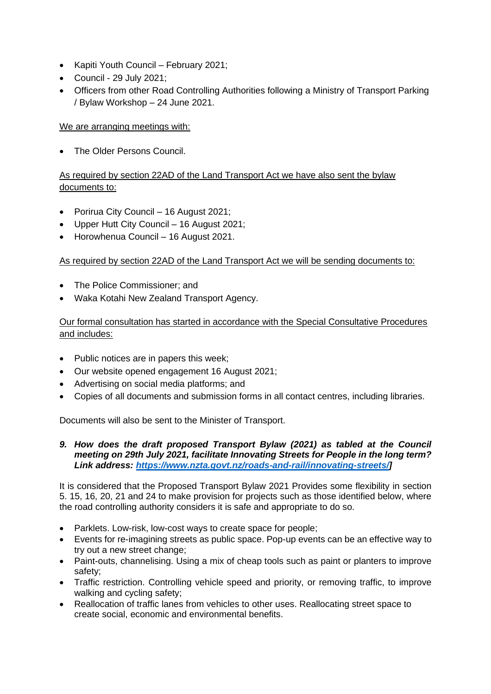- Kapiti Youth Council February 2021;
- Council 29 July 2021;
- Officers from other Road Controlling Authorities following a Ministry of Transport Parking / Bylaw Workshop – 24 June 2021.

## We are arranging meetings with:

• The Older Persons Council.

# As required by section 22AD of the Land Transport Act we have also sent the bylaw documents to:

- Porirua City Council 16 August 2021;
- Upper Hutt City Council 16 August 2021;
- Horowhenua Council 16 August 2021.

## As required by section 22AD of the Land Transport Act we will be sending documents to:

- The Police Commissioner: and
- Waka Kotahi New Zealand Transport Agency.

## Our formal consultation has started in accordance with the Special Consultative Procedures and includes:

- Public notices are in papers this week;
- Our website opened engagement 16 August 2021;
- Advertising on social media platforms; and
- Copies of all documents and submission forms in all contact centres, including libraries.

Documents will also be sent to the Minister of Transport.

*9. How does the draft proposed Transport Bylaw (2021) as tabled at the Council meeting on 29th July 2021, facilitate Innovating Streets for People in the long term? Link address: [https://www.nzta.govt.nz/roads-and-rail/innovating-streets/\]](https://www.nzta.govt.nz/roads-and-rail/innovating-streets/)*

It is considered that the Proposed Transport Bylaw 2021 Provides some flexibility in section 5. 15, 16, 20, 21 and 24 to make provision for projects such as those identified below, where the road controlling authority considers it is safe and appropriate to do so.

- Parklets. Low-risk, low-cost ways to create space for people;
- Events for re-imagining streets as public space. Pop-up events can be an effective way to try out a new street change;
- Paint-outs, channelising. Using a mix of cheap tools such as paint or planters to improve safety;
- Traffic restriction. Controlling vehicle speed and priority, or removing traffic, to improve walking and cycling safety;
- Reallocation of traffic lanes from vehicles to other uses. Reallocating street space to create social, economic and environmental benefits.